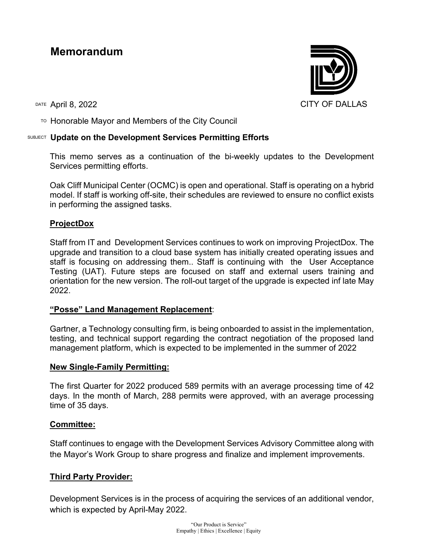# **Memorandum**

TO Honorable Mayor and Members of the City Council

# SUBJECT **Update on the Development Services Permitting Efforts**

This memo serves as a continuation of the bi-weekly updates to the Development Services permitting efforts.

Oak Cliff Municipal Center (OCMC) is open and operational. Staff is operating on a hybrid model. If staff is working off-site, their schedules are reviewed to ensure no conflict exists in performing the assigned tasks.

# **ProjectDox**

Staff from IT and Development Services continues to work on improving ProjectDox. The upgrade and transition to a cloud base system has initially created operating issues and staff is focusing on addressing them.. Staff is continuing with the User Acceptance Testing (UAT). Future steps are focused on staff and external users training and orientation for the new version. The roll-out target of the upgrade is expected inf late May 2022.

## **"Posse" Land Management Replacement**:

Gartner, a Technology consulting firm, is being onboarded to assist in the implementation, testing, and technical support regarding the contract negotiation of the proposed land management platform, which is expected to be implemented in the summer of 2022

#### **New Single-Family Permitting:**

The first Quarter for 2022 produced 589 permits with an average processing time of 42 days. In the month of March, 288 permits were approved, with an average processing time of 35 days.

## **Committee:**

Staff continues to engage with the Development Services Advisory Committee along with the Mayor's Work Group to share progress and finalize and implement improvements.

## **Third Party Provider:**

Development Services is in the process of acquiring the services of an additional vendor, which is expected by April-May 2022.